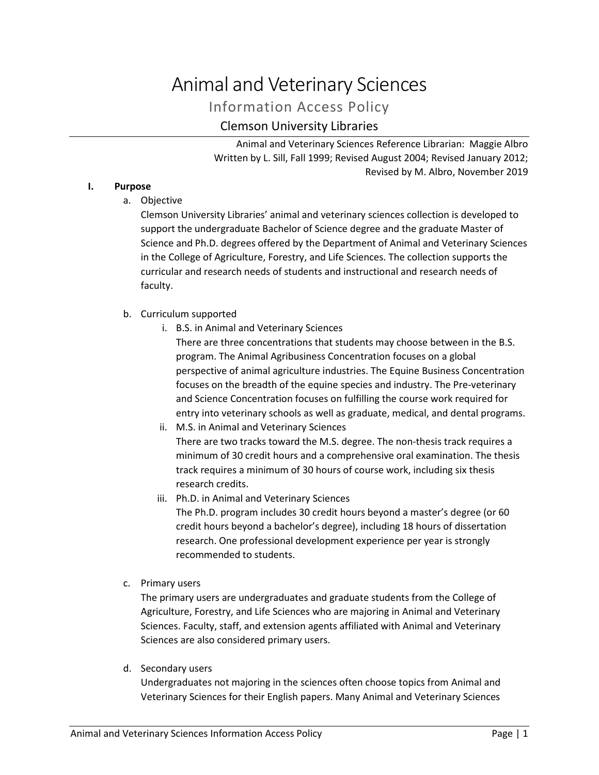# Animal and Veterinary Sciences

Information Access Policy

# Clemson University Libraries

Animal and Veterinary Sciences Reference Librarian: Maggie Albro Written by L. Sill, Fall 1999; Revised August 2004; Revised January 2012; Revised by M. Albro, November 2019

# **I. Purpose**

a. Objective

Clemson University Libraries' animal and veterinary sciences collection is developed to support the undergraduate Bachelor of Science degree and the graduate Master of Science and Ph.D. degrees offered by the Department of Animal and Veterinary Sciences in the College of Agriculture, Forestry, and Life Sciences. The collection supports the curricular and research needs of students and instructional and research needs of faculty.

# b. Curriculum supported

i. B.S. in Animal and Veterinary Sciences

There are three concentrations that students may choose between in the B.S. program. The Animal Agribusiness Concentration focuses on a global perspective of animal agriculture industries. The Equine Business Concentration focuses on the breadth of the equine species and industry. The Pre-veterinary and Science Concentration focuses on fulfilling the course work required for entry into veterinary schools as well as graduate, medical, and dental programs.

- ii. M.S. in Animal and Veterinary Sciences There are two tracks toward the M.S. degree. The non-thesis track requires a minimum of 30 credit hours and a comprehensive oral examination. The thesis track requires a minimum of 30 hours of course work, including six thesis research credits.
- iii. Ph.D. in Animal and Veterinary Sciences The Ph.D. program includes 30 credit hours beyond a master's degree (or 60 credit hours beyond a bachelor's degree), including 18 hours of dissertation research. One professional development experience per year is strongly recommended to students.
- c. Primary users

The primary users are undergraduates and graduate students from the College of Agriculture, Forestry, and Life Sciences who are majoring in Animal and Veterinary Sciences. Faculty, staff, and extension agents affiliated with Animal and Veterinary Sciences are also considered primary users.

d. Secondary users

Undergraduates not majoring in the sciences often choose topics from Animal and Veterinary Sciences for their English papers. Many Animal and Veterinary Sciences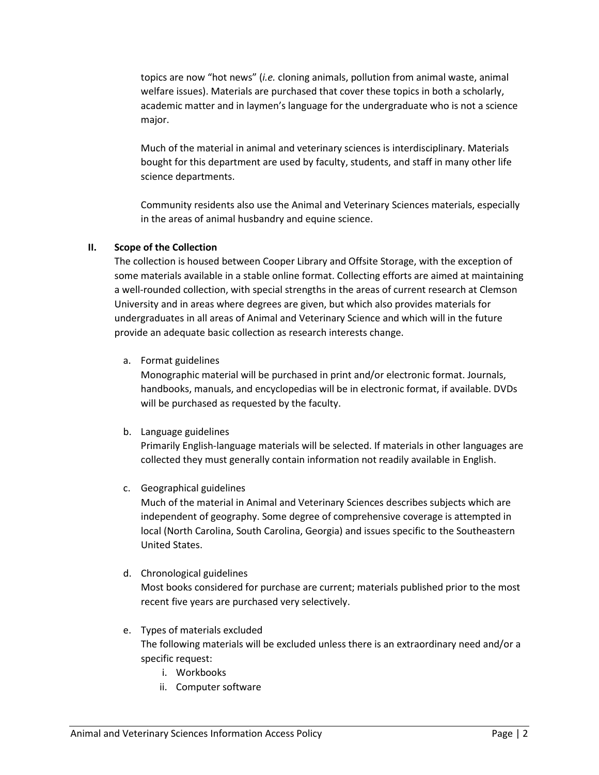topics are now "hot news" (*i.e.* cloning animals, pollution from animal waste, animal welfare issues). Materials are purchased that cover these topics in both a scholarly, academic matter and in laymen's language for the undergraduate who is not a science major.

Much of the material in animal and veterinary sciences is interdisciplinary. Materials bought for this department are used by faculty, students, and staff in many other life science departments.

Community residents also use the Animal and Veterinary Sciences materials, especially in the areas of animal husbandry and equine science.

# **II. Scope of the Collection**

The collection is housed between Cooper Library and Offsite Storage, with the exception of some materials available in a stable online format. Collecting efforts are aimed at maintaining a well-rounded collection, with special strengths in the areas of current research at Clemson University and in areas where degrees are given, but which also provides materials for undergraduates in all areas of Animal and Veterinary Science and which will in the future provide an adequate basic collection as research interests change.

a. Format guidelines

Monographic material will be purchased in print and/or electronic format. Journals, handbooks, manuals, and encyclopedias will be in electronic format, if available. DVDs will be purchased as requested by the faculty.

# b. Language guidelines

Primarily English-language materials will be selected. If materials in other languages are collected they must generally contain information not readily available in English.

c. Geographical guidelines

Much of the material in Animal and Veterinary Sciences describes subjects which are independent of geography. Some degree of comprehensive coverage is attempted in local (North Carolina, South Carolina, Georgia) and issues specific to the Southeastern United States.

# d. Chronological guidelines

Most books considered for purchase are current; materials published prior to the most recent five years are purchased very selectively.

- e. Types of materials excluded The following materials will be excluded unless there is an extraordinary need and/or a specific request:
	- i. Workbooks
	- ii. Computer software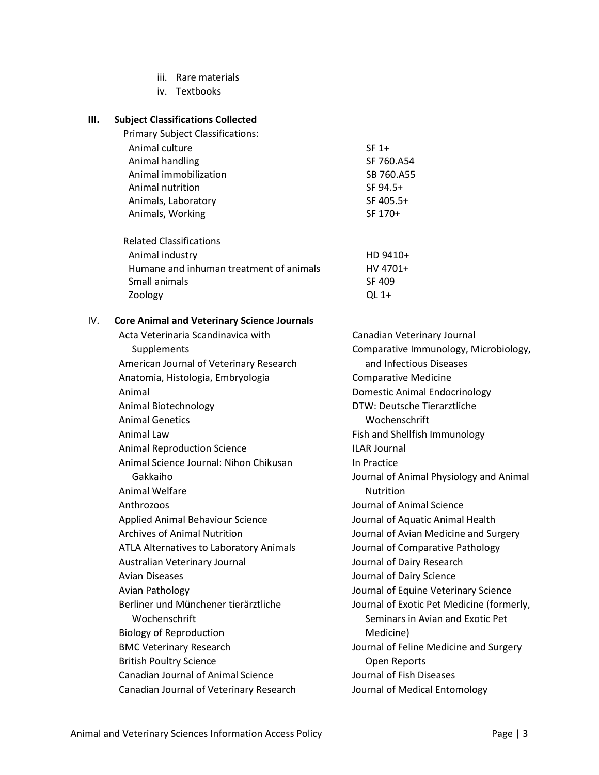- iii. Rare materials
- iv. Textbooks

#### **III. Subject Classifications Collected**

Primary Subject Classifications:

| Animal culture        | $SF 1+$    |
|-----------------------|------------|
| Animal handling       | SF 760.A54 |
| Animal immobilization | SB 760.A55 |
| Animal nutrition      | SF 94.5+   |
| Animals, Laboratory   | SF 405.5+  |
| Animals, Working      | SF 170+    |

| <b>Related Classifications</b>          |          |
|-----------------------------------------|----------|
| Animal industry                         | HD 9410+ |
| Humane and inhuman treatment of animals | HV 4701+ |
| Small animals                           | SF 409   |
| Zoology                                 | OL $1+$  |

#### IV. **Core Animal and Veterinary Science Journals**

Acta Veterinaria Scandinavica with Supplements American Journal of Veterinary Research Anatomia, Histologia, Embryologia Animal Animal Biotechnology Animal Genetics Animal Law Animal Reproduction Science Animal Science Journal: Nihon Chikusan Gakkaiho Animal Welfare Anthrozoos Applied Animal Behaviour Science Archives of Animal Nutrition ATLA Alternatives to Laboratory Animals Australian Veterinary Journal Avian Diseases Avian Pathology Berliner und Münchener tierärztliche Wochenschrift Biology of Reproduction BMC Veterinary Research British Poultry Science Canadian Journal of Animal Science Canadian Journal of Veterinary Research Canadian Veterinary Journal Comparative Immunology, Microbiology, and Infectious Diseases Comparative Medicine Domestic Animal Endocrinology DTW: Deutsche Tierarztliche Wochenschrift Fish and Shellfish Immunology ILAR Journal In Practice Journal of Animal Physiology and Animal Nutrition Journal of Animal Science Journal of Aquatic Animal Health Journal of Avian Medicine and Surgery Journal of Comparative Pathology Journal of Dairy Research Journal of Dairy Science Journal of Equine Veterinary Science Journal of Exotic Pet Medicine (formerly, Seminars in Avian and Exotic Pet Medicine) Journal of Feline Medicine and Surgery Open Reports Journal of Fish Diseases Journal of Medical Entomology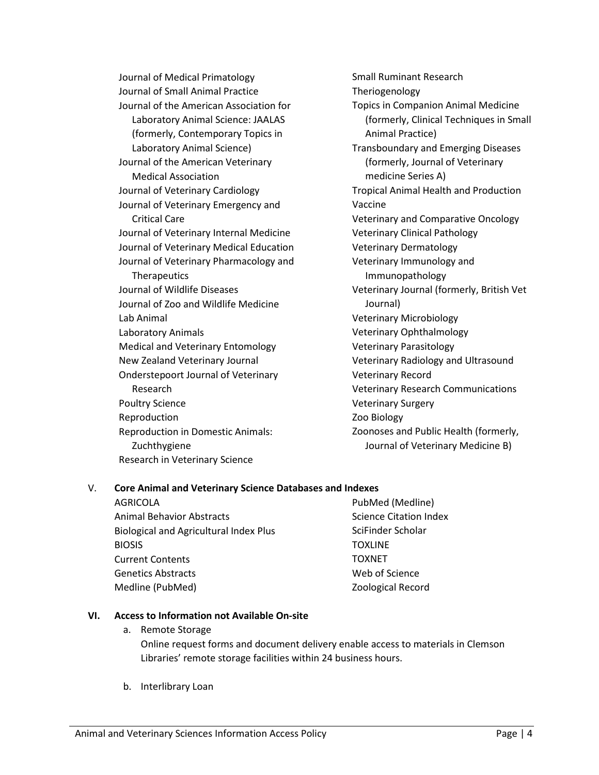Journal of Medical Primatology Journal of Small Animal Practice Journal of the American Association for Laboratory Animal Science: JAALAS (formerly, Contemporary Topics in Laboratory Animal Science) Journal of the American Veterinary Medical Association Journal of Veterinary Cardiology Journal of Veterinary Emergency and Critical Care Journal of Veterinary Internal Medicine Journal of Veterinary Medical Education Journal of Veterinary Pharmacology and **Therapeutics** Journal of Wildlife Diseases Journal of Zoo and Wildlife Medicine Lab Animal Laboratory Animals Medical and Veterinary Entomology New Zealand Veterinary Journal Onderstepoort Journal of Veterinary Research Poultry Science Reproduction Reproduction in Domestic Animals: Zuchthygiene Research in Veterinary Science

Small Ruminant Research Theriogenology Topics in Companion Animal Medicine (formerly, Clinical Techniques in Small Animal Practice) Transboundary and Emerging Diseases (formerly, Journal of Veterinary medicine Series A) Tropical Animal Health and Production Vaccine Veterinary and Comparative Oncology Veterinary Clinical Pathology Veterinary Dermatology Veterinary Immunology and Immunopathology Veterinary Journal (formerly, British Vet Journal) Veterinary Microbiology Veterinary Ophthalmology Veterinary Parasitology Veterinary Radiology and Ultrasound Veterinary Record Veterinary Research Communications Veterinary Surgery Zoo Biology Zoonoses and Public Health (formerly, Journal of Veterinary Medicine B)

# V. **Core Animal and Veterinary Science Databases and Indexes**

AGRICOLA Animal Behavior Abstracts Biological and Agricultural Index Plus BIOSIS Current Contents Genetics Abstracts Medline (PubMed) PubMed (Medline) Science Citation Index SciFinder Scholar **TOXLINE** TOXNET Web of Science Zoological Record

# **VI. Access to Information not Available On-site**

- a. Remote Storage Online request forms and document delivery enable access to materials in Clemson Libraries' remote storage facilities within 24 business hours.
- b. Interlibrary Loan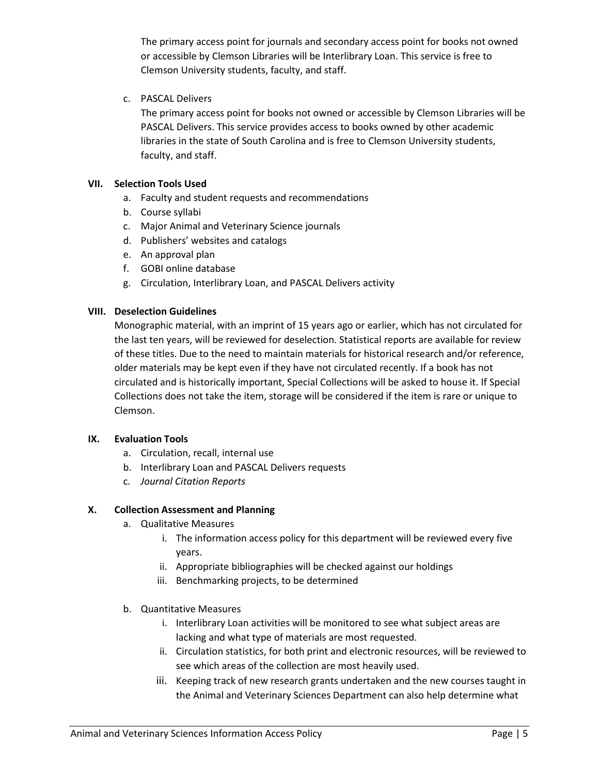The primary access point for journals and secondary access point for books not owned or accessible by Clemson Libraries will be Interlibrary Loan. This service is free to Clemson University students, faculty, and staff.

c. PASCAL Delivers

The primary access point for books not owned or accessible by Clemson Libraries will be PASCAL Delivers. This service provides access to books owned by other academic libraries in the state of South Carolina and is free to Clemson University students, faculty, and staff.

# **VII. Selection Tools Used**

- a. Faculty and student requests and recommendations
- b. Course syllabi
- c. Major Animal and Veterinary Science journals
- d. Publishers' websites and catalogs
- e. An approval plan
- f. GOBI online database
- g. Circulation, Interlibrary Loan, and PASCAL Delivers activity

# **VIII. Deselection Guidelines**

Monographic material, with an imprint of 15 years ago or earlier, which has not circulated for the last ten years, will be reviewed for deselection. Statistical reports are available for review of these titles. Due to the need to maintain materials for historical research and/or reference, older materials may be kept even if they have not circulated recently. If a book has not circulated and is historically important, Special Collections will be asked to house it. If Special Collections does not take the item, storage will be considered if the item is rare or unique to Clemson.

# **IX. Evaluation Tools**

- a. Circulation, recall, internal use
- b. Interlibrary Loan and PASCAL Delivers requests
- c. *Journal Citation Reports*

# **X. Collection Assessment and Planning**

- a. Qualitative Measures
	- i. The information access policy for this department will be reviewed every five years.
	- ii. Appropriate bibliographies will be checked against our holdings
	- iii. Benchmarking projects, to be determined
- b. Quantitative Measures
	- i. Interlibrary Loan activities will be monitored to see what subject areas are lacking and what type of materials are most requested.
	- ii. Circulation statistics, for both print and electronic resources, will be reviewed to see which areas of the collection are most heavily used.
	- iii. Keeping track of new research grants undertaken and the new courses taught in the Animal and Veterinary Sciences Department can also help determine what